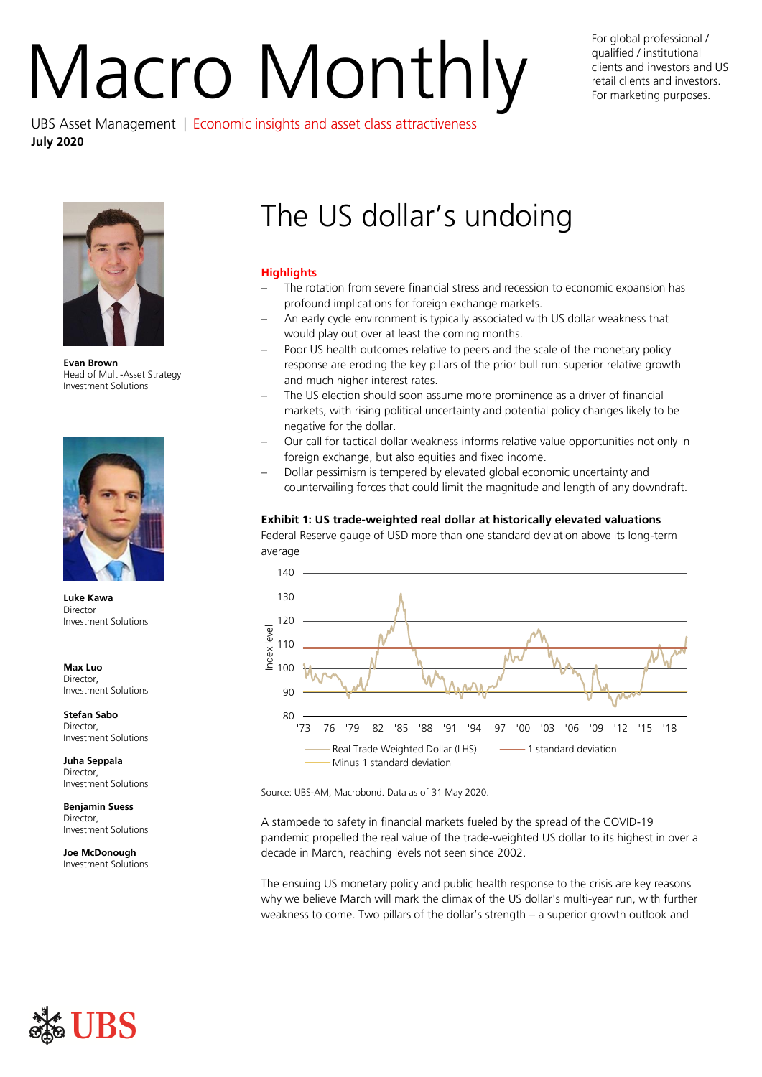# For global professional /<br>qualified / institutional<br>For marketing purposes.

qualified / institutional clients and investors and US retail clients and investors. For marketing purposes.

UBS Asset Management | Economic insights and asset class attractiveness **July 2020**



**Evan Brown** Head of Multi-Asset Strategy Investment Solutions



**Luke Kawa Director** Investment Solutions

**Max Luo** Director, Investment Solutions

**Stefan Sabo Director** Investment Solutions

**Juha Seppala** Director, Investment Solutions

**Benjamin Suess** Director, Investment Solutions

**Joe McDonough** Investment Solutions

# The US dollar's undoing

# **Highlights**

- The rotation from severe financial stress and recession to economic expansion has profound implications for foreign exchange markets.
- An early cycle environment is typically associated with US dollar weakness that would play out over at least the coming months.
- Poor US health outcomes relative to peers and the scale of the monetary policy response are eroding the key pillars of the prior bull run: superior relative growth and much higher interest rates.
- The US election should soon assume more prominence as a driver of financial markets, with rising political uncertainty and potential policy changes likely to be negative for the dollar.
- Our call for tactical dollar weakness informs relative value opportunities not only in foreign exchange, but also equities and fixed income.
- Dollar pessimism is tempered by elevated global economic uncertainty and countervailing forces that could limit the magnitude and length of any downdraft.

# **Exhibit 1: US trade-weighted real dollar at historically elevated valuations**

Federal Reserve gauge of USD more than one standard deviation above its long-term average



Source: UBS-AM, Macrobond. Data as of 31 May 2020.

A stampede to safety in financial markets fueled by the spread of the COVID-19 pandemic propelled the real value of the trade-weighted US dollar to its highest in over a decade in March, reaching levels not seen since 2002.

The ensuing US monetary policy and public health response to the crisis are key reasons why we believe March will mark the climax of the US dollar's multi-year run, with further weakness to come. Two pillars of the dollar's strength – a superior growth outlook and

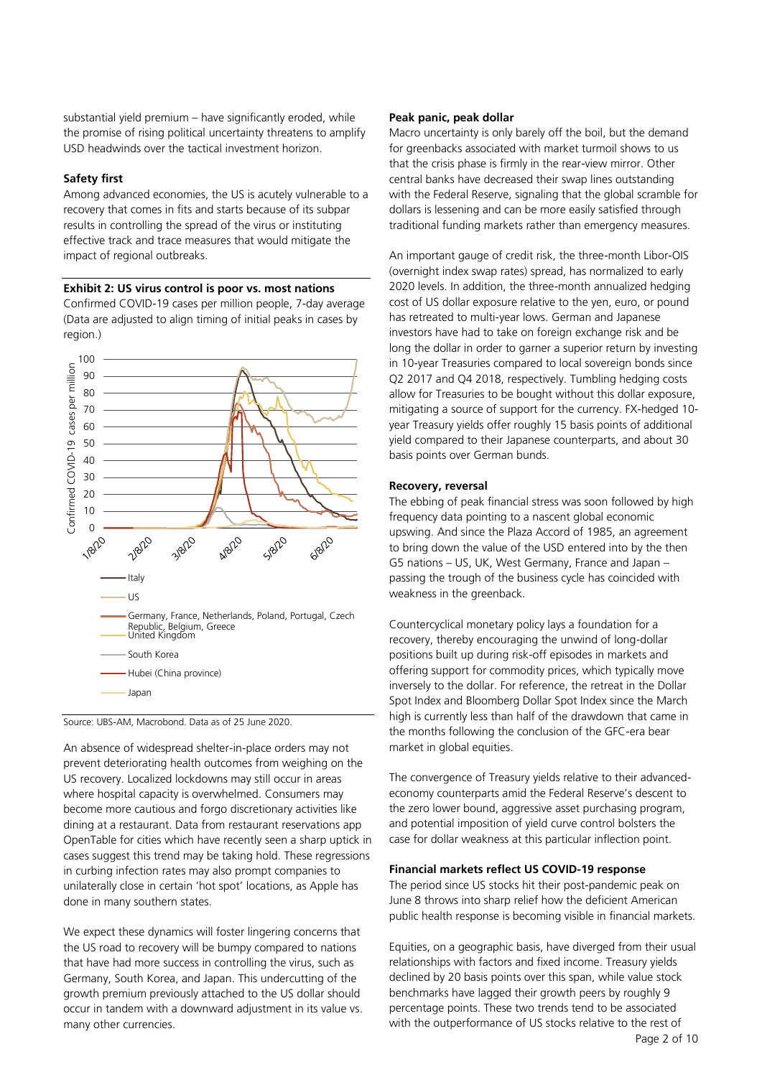substantial yield premium – have significantly eroded, while the promise of rising political uncertainty threatens to amplify USD headwinds over the tactical investment horizon.

# **Safety first**

Among advanced economies, the US is acutely vulnerable to a recovery that comes in fits and starts because of its subpar results in controlling the spread of the virus or instituting effective track and trace measures that would mitigate the impact of regional outbreaks.

# **Exhibit 2: US virus control is poor vs. most nations**

Confirmed COVID-19 cases per million people, 7-day average (Data are adjusted to align timing of initial peaks in cases by region.)





An absence of widespread shelter-in-place orders may not prevent deteriorating health outcomes from weighing on the US recovery. Localized lockdowns may still occur in areas where hospital capacity is overwhelmed. Consumers may become more cautious and forgo discretionary activities like dining at a restaurant. Data from restaurant reservations app OpenTable for cities which have recently seen a sharp uptick in cases suggest this trend may be taking hold. These regressions in curbing infection rates may also prompt companies to unilaterally close in certain 'hot spot' locations, as Apple has done in many southern states.

We expect these dynamics will foster lingering concerns that the US road to recovery will be bumpy compared to nations that have had more success in controlling the virus, such as Germany, South Korea, and Japan. This undercutting of the growth premium previously attached to the US dollar should occur in tandem with a downward adjustment in its value vs. many other currencies.

# **Peak panic, peak dollar**

Macro uncertainty is only barely off the boil, but the demand for greenbacks associated with market turmoil shows to us that the crisis phase is firmly in the rear-view mirror. Other central banks have decreased their swap lines outstanding with the Federal Reserve, signaling that the global scramble for dollars is lessening and can be more easily satisfied through traditional funding markets rather than emergency measures.

An important gauge of credit risk, the three-month Libor-OIS (overnight index swap rates) spread, has normalized to early 2020 levels. In addition, the three-month annualized hedging cost of US dollar exposure relative to the yen, euro, or pound has retreated to multi-year lows. German and Japanese investors have had to take on foreign exchange risk and be long the dollar in order to garner a superior return by investing in 10-year Treasuries compared to local sovereign bonds since Q2 2017 and Q4 2018, respectively. Tumbling hedging costs allow for Treasuries to be bought without this dollar exposure, mitigating a source of support for the currency. FX-hedged 10 year Treasury yields offer roughly 15 basis points of additional yield compared to their Japanese counterparts, and about 30 basis points over German bunds.

# **Recovery, reversal**

The ebbing of peak financial stress was soon followed by high frequency data pointing to a nascent global economic upswing. And since the Plaza Accord of 1985, an agreement to bring down the value of the USD entered into by the then G5 nations – US, UK, West Germany, France and Japan – passing the trough of the business cycle has coincided with weakness in the greenback.

Countercyclical monetary policy lays a foundation for a recovery, thereby encouraging the unwind of long-dollar positions built up during risk-off episodes in markets and offering support for commodity prices, which typically move inversely to the dollar. For reference, the retreat in the Dollar Spot Index and Bloomberg Dollar Spot Index since the March high is currently less than half of the drawdown that came in the months following the conclusion of the GFC-era bear market in global equities.

The convergence of Treasury yields relative to their advancedeconomy counterparts amid the Federal Reserve's descent to the zero lower bound, aggressive asset purchasing program, and potential imposition of yield curve control bolsters the case for dollar weakness at this particular inflection point.

# **Financial markets reflect US COVID-19 response**

The period since US stocks hit their post-pandemic peak on June 8 throws into sharp relief how the deficient American public health response is becoming visible in financial markets.

Equities, on a geographic basis, have diverged from their usual relationships with factors and fixed income. Treasury yields declined by 20 basis points over this span, while value stock benchmarks have lagged their growth peers by roughly 9 percentage points. These two trends tend to be associated with the outperformance of US stocks relative to the rest of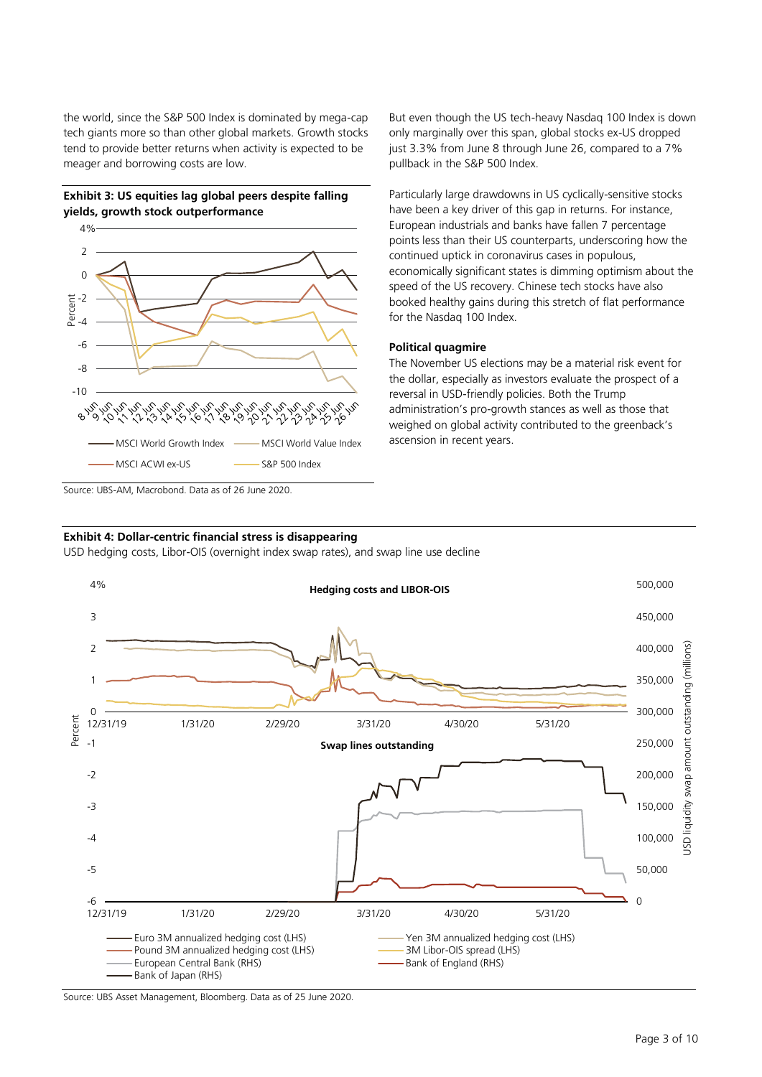the world, since the S&P 500 Index is dominated by mega-cap tech giants more so than other global markets. Growth stocks tend to provide better returns when activity is expected to be meager and borrowing costs are low.





Source: UBS-AM, Macrobond. Data as of 26 June 2020.

# **Exhibit 4: Dollar-centric financial stress is disappearing**

USD hedging costs, Libor-OIS (overnight index swap rates), and swap line use decline



Source: UBS Asset Management, Bloomberg. Data as of 25 June 2020.

But even though the US tech-heavy Nasdaq 100 Index is down only marginally over this span, global stocks ex-US dropped just 3.3% from June 8 through June 26, compared to a 7% pullback in the S&P 500 Index.

Particularly large drawdowns in US cyclically-sensitive stocks have been a key driver of this gap in returns. For instance, European industrials and banks have fallen 7 percentage points less than their US counterparts, underscoring how the continued uptick in coronavirus cases in populous, economically significant states is dimming optimism about the speed of the US recovery. Chinese tech stocks have also booked healthy gains during this stretch of flat performance for the Nasdaq 100 Index.

# **Political quagmire**

The November US elections may be a material risk event for the dollar, especially as investors evaluate the prospect of a reversal in USD-friendly policies. Both the Trump administration's pro-growth stances as well as those that weighed on global activity contributed to the greenback's ascension in recent years.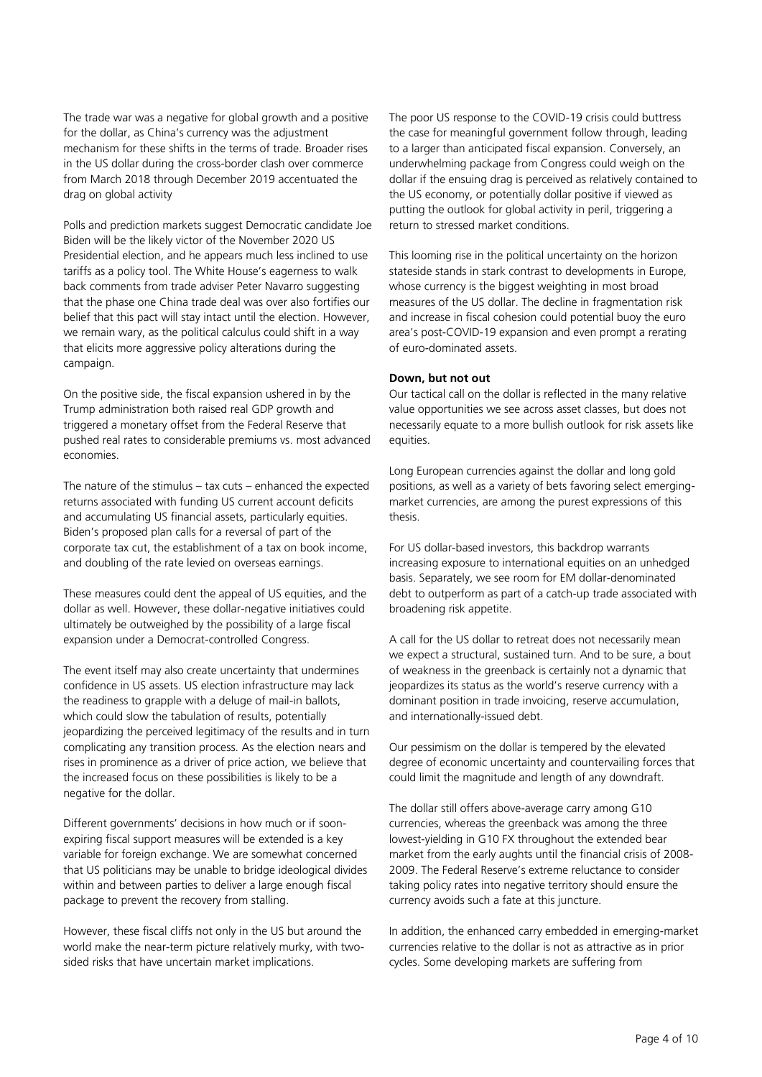The trade war was a negative for global growth and a positive for the dollar, as China's currency was the adjustment mechanism for these shifts in the terms of trade. Broader rises in the US dollar during the cross-border clash over commerce from March 2018 through December 2019 accentuated the drag on global activity

Polls and prediction markets suggest Democratic candidate Joe Biden will be the likely victor of the November 2020 US Presidential election, and he appears much less inclined to use tariffs as a policy tool. The White House's eagerness to walk back comments from trade adviser Peter Navarro suggesting that the phase one China trade deal was over also fortifies our belief that this pact will stay intact until the election. However, we remain wary, as the political calculus could shift in a way that elicits more aggressive policy alterations during the campaign.

On the positive side, the fiscal expansion ushered in by the Trump administration both raised real GDP growth and triggered a monetary offset from the Federal Reserve that pushed real rates to considerable premiums vs. most advanced economies.

The nature of the stimulus – tax cuts – enhanced the expected returns associated with funding US current account deficits and accumulating US financial assets, particularly equities. Biden's proposed plan calls for a reversal of part of the corporate tax cut, the establishment of a tax on book income, and doubling of the rate levied on overseas earnings.

These measures could dent the appeal of US equities, and the dollar as well. However, these dollar-negative initiatives could ultimately be outweighed by the possibility of a large fiscal expansion under a Democrat-controlled Congress.

The event itself may also create uncertainty that undermines confidence in US assets. US election infrastructure may lack the readiness to grapple with a deluge of mail-in ballots, which could slow the tabulation of results, potentially jeopardizing the perceived legitimacy of the results and in turn complicating any transition process. As the election nears and rises in prominence as a driver of price action, we believe that the increased focus on these possibilities is likely to be a negative for the dollar.

Different governments' decisions in how much or if soonexpiring fiscal support measures will be extended is a key variable for foreign exchange. We are somewhat concerned that US politicians may be unable to bridge ideological divides within and between parties to deliver a large enough fiscal package to prevent the recovery from stalling.

However, these fiscal cliffs not only in the US but around the world make the near-term picture relatively murky, with twosided risks that have uncertain market implications.

The poor US response to the COVID-19 crisis could buttress the case for meaningful government follow through, leading to a larger than anticipated fiscal expansion. Conversely, an underwhelming package from Congress could weigh on the dollar if the ensuing drag is perceived as relatively contained to the US economy, or potentially dollar positive if viewed as putting the outlook for global activity in peril, triggering a return to stressed market conditions.

This looming rise in the political uncertainty on the horizon stateside stands in stark contrast to developments in Europe, whose currency is the biggest weighting in most broad measures of the US dollar. The decline in fragmentation risk and increase in fiscal cohesion could potential buoy the euro area's post-COVID-19 expansion and even prompt a rerating of euro-dominated assets.

# **Down, but not out**

Our tactical call on the dollar is reflected in the many relative value opportunities we see across asset classes, but does not necessarily equate to a more bullish outlook for risk assets like equities.

Long European currencies against the dollar and long gold positions, as well as a variety of bets favoring select emergingmarket currencies, are among the purest expressions of this thesis.

For US dollar-based investors, this backdrop warrants increasing exposure to international equities on an unhedged basis. Separately, we see room for EM dollar-denominated debt to outperform as part of a catch-up trade associated with broadening risk appetite.

A call for the US dollar to retreat does not necessarily mean we expect a structural, sustained turn. And to be sure, a bout of weakness in the greenback is certainly not a dynamic that jeopardizes its status as the world's reserve currency with a dominant position in trade invoicing, reserve accumulation, and internationally-issued debt.

Our pessimism on the dollar is tempered by the elevated degree of economic uncertainty and countervailing forces that could limit the magnitude and length of any downdraft.

The dollar still offers above-average carry among G10 currencies, whereas the greenback was among the three lowest-yielding in G10 FX throughout the extended bear market from the early aughts until the financial crisis of 2008- 2009. The Federal Reserve's extreme reluctance to consider taking policy rates into negative territory should ensure the currency avoids such a fate at this juncture.

In addition, the enhanced carry embedded in emerging-market currencies relative to the dollar is not as attractive as in prior cycles. Some developing markets are suffering from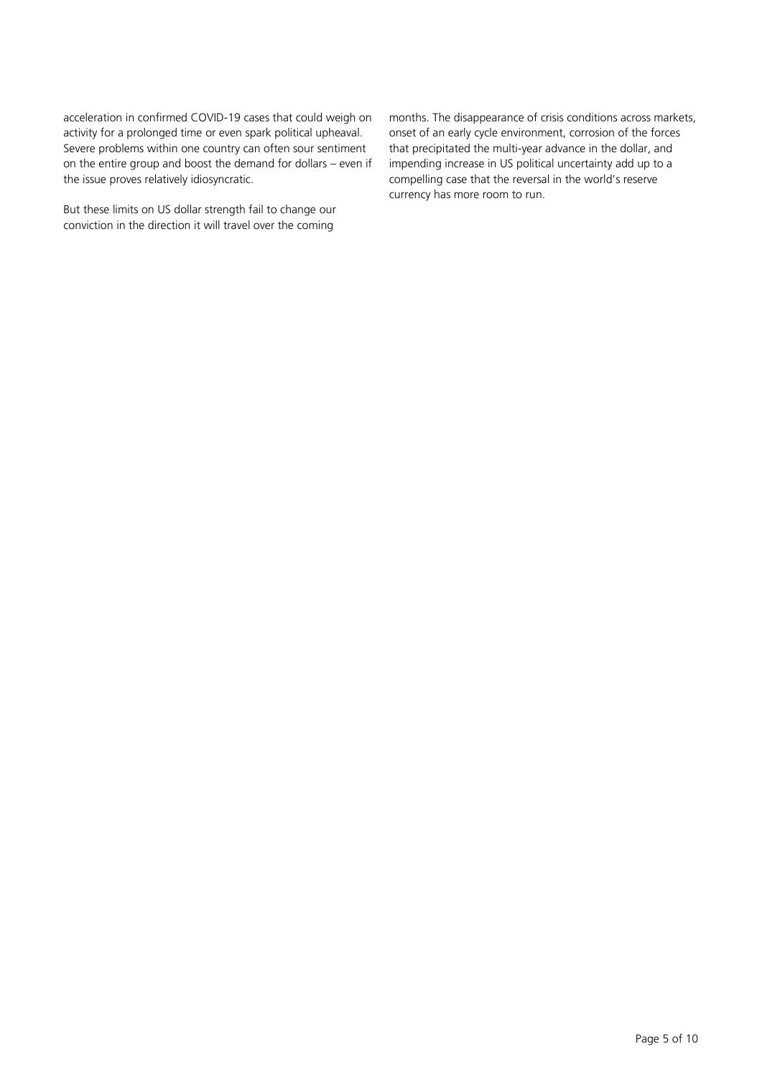acceleration in confirmed COVID-19 cases that could weigh on activity for a prolonged time or even spark political upheaval. Severe problems within one country can often sour sentiment on the entire group and boost the demand for dollars – even if the issue proves relatively idiosyncratic.

But these limits on US dollar strength fail to change our conviction in the direction it will travel over the coming

months. The disappearance of crisis conditions across markets, onset of an early cycle environment, corrosion of the forces that precipitated the multi-year advance in the dollar, and impending increase in US political uncertainty add up to a compelling case that the reversal in the world's reserve currency has more room to run.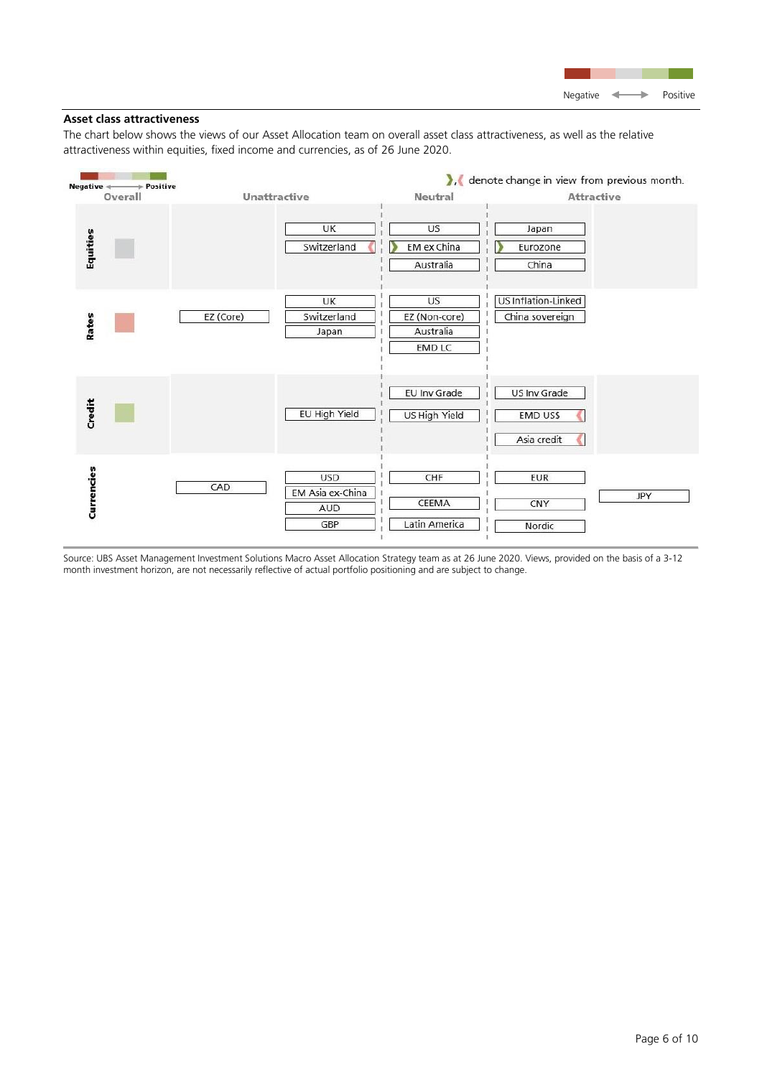

# **Asset class attractiveness**

The chart below shows the views of our Asset Allocation team on overall asset class attractiveness, as well as the relative attractiveness within equities, fixed income and currencies, as of 26 June 2020.



Source: UBS Asset Management Investment Solutions Macro Asset Allocation Strategy team as at 26 June 2020. Views, provided on the basis of a 3-12 month investment horizon, are not necessarily reflective of actual portfolio positioning and are subject to change.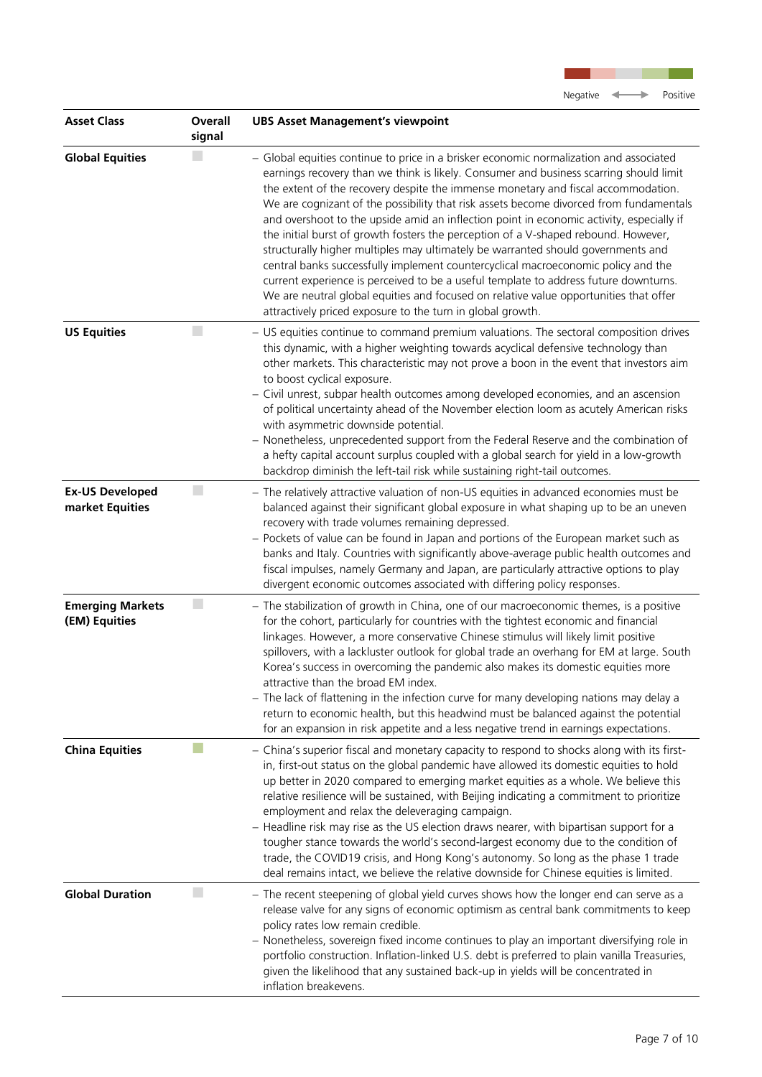

| <b>Asset Class</b>                        | Overall<br>signal | <b>UBS Asset Management's viewpoint</b>                                                                                                                                                                                                                                                                                                                                                                                                                                                                                                                                                                                                                                                                                                                                                                                                                                                                                                                                   |
|-------------------------------------------|-------------------|---------------------------------------------------------------------------------------------------------------------------------------------------------------------------------------------------------------------------------------------------------------------------------------------------------------------------------------------------------------------------------------------------------------------------------------------------------------------------------------------------------------------------------------------------------------------------------------------------------------------------------------------------------------------------------------------------------------------------------------------------------------------------------------------------------------------------------------------------------------------------------------------------------------------------------------------------------------------------|
| <b>Global Equities</b>                    |                   | - Global equities continue to price in a brisker economic normalization and associated<br>earnings recovery than we think is likely. Consumer and business scarring should limit<br>the extent of the recovery despite the immense monetary and fiscal accommodation.<br>We are cognizant of the possibility that risk assets become divorced from fundamentals<br>and overshoot to the upside amid an inflection point in economic activity, especially if<br>the initial burst of growth fosters the perception of a V-shaped rebound. However,<br>structurally higher multiples may ultimately be warranted should governments and<br>central banks successfully implement countercyclical macroeconomic policy and the<br>current experience is perceived to be a useful template to address future downturns.<br>We are neutral global equities and focused on relative value opportunities that offer<br>attractively priced exposure to the turn in global growth. |
| <b>US Equities</b>                        |                   | - US equities continue to command premium valuations. The sectoral composition drives<br>this dynamic, with a higher weighting towards acyclical defensive technology than<br>other markets. This characteristic may not prove a boon in the event that investors aim<br>to boost cyclical exposure.<br>- Civil unrest, subpar health outcomes among developed economies, and an ascension<br>of political uncertainty ahead of the November election loom as acutely American risks<br>with asymmetric downside potential.<br>- Nonetheless, unprecedented support from the Federal Reserve and the combination of<br>a hefty capital account surplus coupled with a global search for yield in a low-growth<br>backdrop diminish the left-tail risk while sustaining right-tail outcomes.                                                                                                                                                                               |
| <b>Ex-US Developed</b><br>market Equities | $\Box$            | - The relatively attractive valuation of non-US equities in advanced economies must be<br>balanced against their significant global exposure in what shaping up to be an uneven<br>recovery with trade volumes remaining depressed.<br>- Pockets of value can be found in Japan and portions of the European market such as<br>banks and Italy. Countries with significantly above-average public health outcomes and<br>fiscal impulses, namely Germany and Japan, are particularly attractive options to play<br>divergent economic outcomes associated with differing policy responses.                                                                                                                                                                                                                                                                                                                                                                                |
| <b>Emerging Markets</b><br>(EM) Equities  | L.                | - The stabilization of growth in China, one of our macroeconomic themes, is a positive<br>for the cohort, particularly for countries with the tightest economic and financial<br>linkages. However, a more conservative Chinese stimulus will likely limit positive<br>spillovers, with a lackluster outlook for global trade an overhang for EM at large. South<br>Korea's success in overcoming the pandemic also makes its domestic equities more<br>attractive than the broad EM index.<br>- The lack of flattening in the infection curve for many developing nations may delay a<br>return to economic health, but this headwind must be balanced against the potential<br>for an expansion in risk appetite and a less negative trend in earnings expectations.                                                                                                                                                                                                    |
| <b>China Equities</b>                     |                   | - China's superior fiscal and monetary capacity to respond to shocks along with its first-<br>in, first-out status on the global pandemic have allowed its domestic equities to hold<br>up better in 2020 compared to emerging market equities as a whole. We believe this<br>relative resilience will be sustained, with Beijing indicating a commitment to prioritize<br>employment and relax the deleveraging campaign.<br>- Headline risk may rise as the US election draws nearer, with bipartisan support for a<br>tougher stance towards the world's second-largest economy due to the condition of<br>trade, the COVID19 crisis, and Hong Kong's autonomy. So long as the phase 1 trade<br>deal remains intact, we believe the relative downside for Chinese equities is limited.                                                                                                                                                                                 |
| <b>Global Duration</b>                    | $\mathbb{R}^n$    | - The recent steepening of global yield curves shows how the longer end can serve as a<br>release valve for any signs of economic optimism as central bank commitments to keep<br>policy rates low remain credible.<br>- Nonetheless, sovereign fixed income continues to play an important diversifying role in<br>portfolio construction. Inflation-linked U.S. debt is preferred to plain vanilla Treasuries,<br>given the likelihood that any sustained back-up in yields will be concentrated in<br>inflation breakevens.                                                                                                                                                                                                                                                                                                                                                                                                                                            |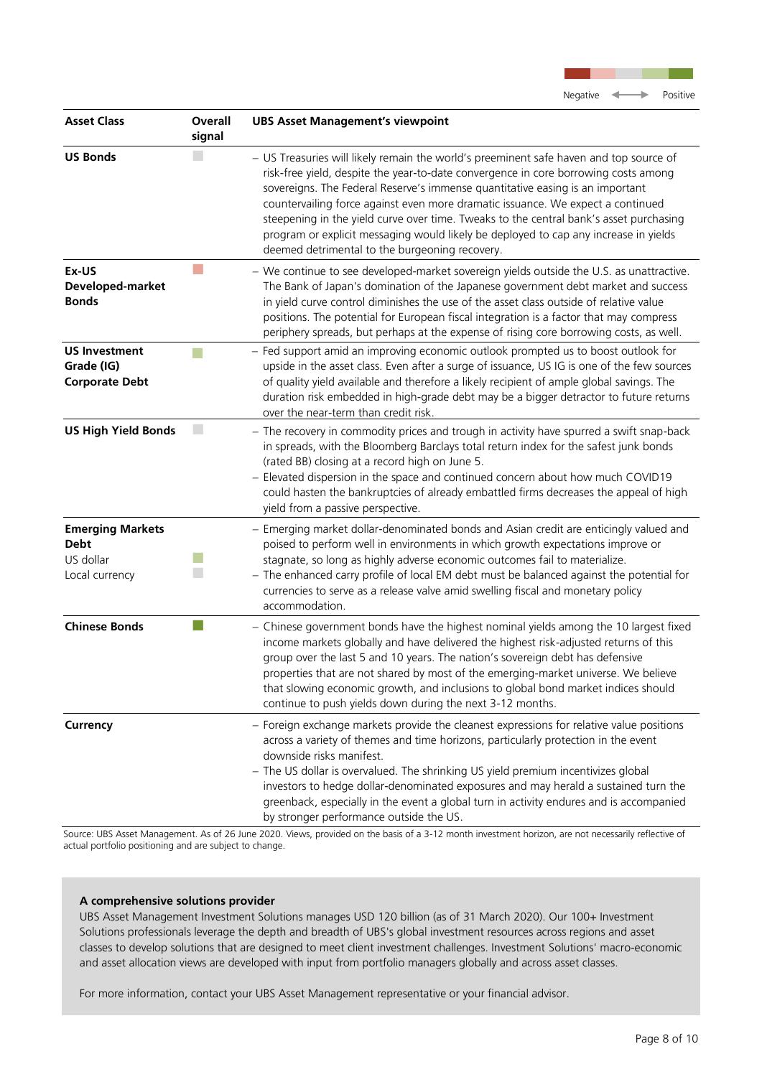

| <b>Asset Class</b>                                                    | Overall<br>signal           | <b>UBS Asset Management's viewpoint</b>                                                                                                                                                                                                                                                                                                                                                                                                                                                                                                                                               |
|-----------------------------------------------------------------------|-----------------------------|---------------------------------------------------------------------------------------------------------------------------------------------------------------------------------------------------------------------------------------------------------------------------------------------------------------------------------------------------------------------------------------------------------------------------------------------------------------------------------------------------------------------------------------------------------------------------------------|
| <b>US Bonds</b>                                                       |                             | - US Treasuries will likely remain the world's preeminent safe haven and top source of<br>risk-free yield, despite the year-to-date convergence in core borrowing costs among<br>sovereigns. The Federal Reserve's immense quantitative easing is an important<br>countervailing force against even more dramatic issuance. We expect a continued<br>steepening in the yield curve over time. Tweaks to the central bank's asset purchasing<br>program or explicit messaging would likely be deployed to cap any increase in yields<br>deemed detrimental to the burgeoning recovery. |
| Ex-US<br>Developed-market<br><b>Bonds</b>                             |                             | - We continue to see developed-market sovereign yields outside the U.S. as unattractive.<br>The Bank of Japan's domination of the Japanese government debt market and success<br>in yield curve control diminishes the use of the asset class outside of relative value<br>positions. The potential for European fiscal integration is a factor that may compress<br>periphery spreads, but perhaps at the expense of rising core borrowing costs, as well.                                                                                                                           |
| <b>US Investment</b><br>Grade (IG)<br><b>Corporate Debt</b>           |                             | - Fed support amid an improving economic outlook prompted us to boost outlook for<br>upside in the asset class. Even after a surge of issuance, US IG is one of the few sources<br>of quality yield available and therefore a likely recipient of ample global savings. The<br>duration risk embedded in high-grade debt may be a bigger detractor to future returns<br>over the near-term than credit risk.                                                                                                                                                                          |
| <b>US High Yield Bonds</b>                                            | $\mathcal{L}_{\mathcal{A}}$ | - The recovery in commodity prices and trough in activity have spurred a swift snap-back<br>in spreads, with the Bloomberg Barclays total return index for the safest junk bonds<br>(rated BB) closing at a record high on June 5.<br>- Elevated dispersion in the space and continued concern about how much COVID19<br>could hasten the bankruptcies of already embattled firms decreases the appeal of high<br>yield from a passive perspective.                                                                                                                                   |
| <b>Emerging Markets</b><br><b>Debt</b><br>US dollar<br>Local currency |                             | - Emerging market dollar-denominated bonds and Asian credit are enticingly valued and<br>poised to perform well in environments in which growth expectations improve or<br>stagnate, so long as highly adverse economic outcomes fail to materialize.<br>- The enhanced carry profile of local EM debt must be balanced against the potential for<br>currencies to serve as a release valve amid swelling fiscal and monetary policy<br>accommodation.                                                                                                                                |
| <b>Chinese Bonds</b>                                                  |                             | - Chinese government bonds have the highest nominal yields among the 10 largest fixed<br>income markets globally and have delivered the highest risk-adjusted returns of this<br>group over the last 5 and 10 years. The nation's sovereign debt has defensive<br>properties that are not shared by most of the emerging-market universe. We believe<br>that slowing economic growth, and inclusions to global bond market indices should<br>continue to push yields down during the next 3-12 months.                                                                                |
| Currency                                                              |                             | - Foreign exchange markets provide the cleanest expressions for relative value positions<br>across a variety of themes and time horizons, particularly protection in the event<br>downside risks manifest.<br>- The US dollar is overvalued. The shrinking US yield premium incentivizes global<br>investors to hedge dollar-denominated exposures and may herald a sustained turn the<br>greenback, especially in the event a global turn in activity endures and is accompanied<br>by stronger performance outside the US.                                                          |

Source: UBS Asset Management. As of 26 June 2020. Views, provided on the basis of a 3-12 month investment horizon, are not necessarily reflective of actual portfolio positioning and are subject to change.

# **A comprehensive solutions provider**

UBS Asset Management Investment Solutions manages USD 120 billion (as of 31 March 2020). Our 100+ Investment Solutions professionals leverage the depth and breadth of UBS's global investment resources across regions and asset classes to develop solutions that are designed to meet client investment challenges. Investment Solutions' macro-economic and asset allocation views are developed with input from portfolio managers globally and across asset classes.

For more information, contact your UBS Asset Management representative or your financial advisor.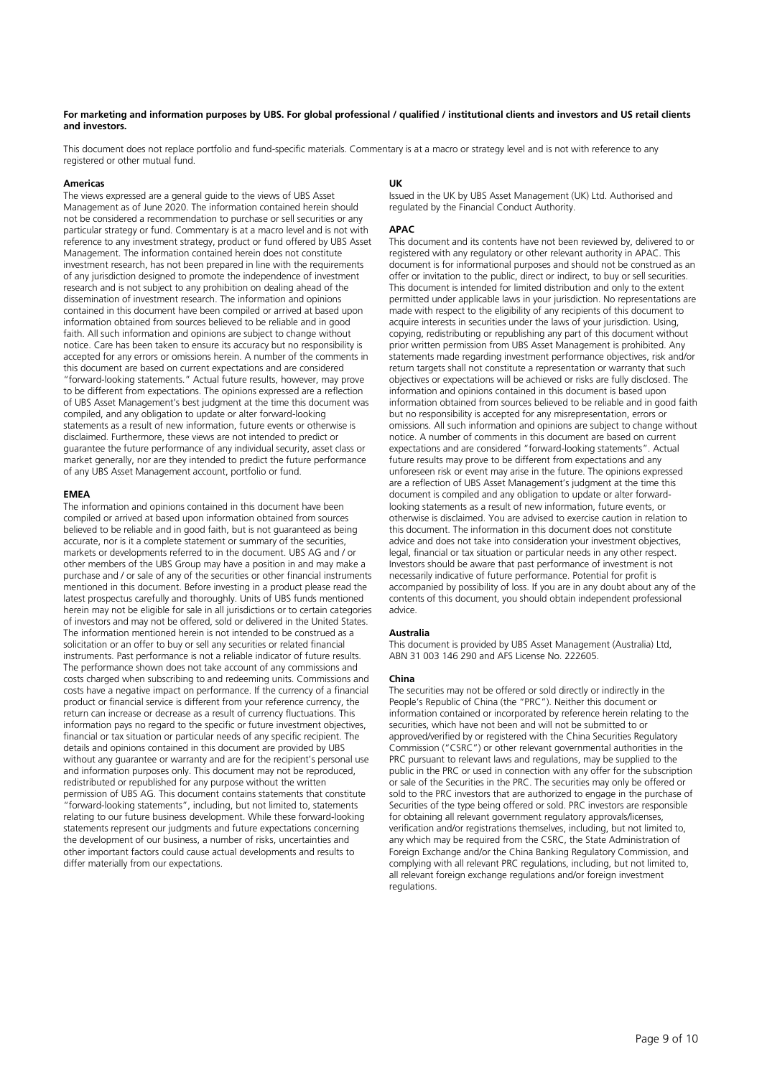#### **For marketing and information purposes by UBS. For global professional / qualified / institutional clients and investors and US retail clients and investors.**

This document does not replace portfolio and fund-specific materials. Commentary is at a macro or strategy level and is not with reference to any registered or other mutual fund.

#### **Americas**

The views expressed are a general guide to the views of UBS Asset Management as of June 2020. The information contained herein should not be considered a recommendation to purchase or sell securities or any particular strategy or fund. Commentary is at a macro level and is not with reference to any investment strategy, product or fund offered by UBS Asset Management. The information contained herein does not constitute investment research, has not been prepared in line with the requirements of any jurisdiction designed to promote the independence of investment research and is not subject to any prohibition on dealing ahead of the dissemination of investment research. The information and opinions contained in this document have been compiled or arrived at based upon information obtained from sources believed to be reliable and in good faith. All such information and opinions are subject to change without notice. Care has been taken to ensure its accuracy but no responsibility is accepted for any errors or omissions herein. A number of the comments in this document are based on current expectations and are considered "forward-looking statements." Actual future results, however, may prove to be different from expectations. The opinions expressed are a reflection of UBS Asset Management's best judgment at the time this document was compiled, and any obligation to update or alter forward-looking statements as a result of new information, future events or otherwise is disclaimed. Furthermore, these views are not intended to predict or guarantee the future performance of any individual security, asset class or market generally, nor are they intended to predict the future performance of any UBS Asset Management account, portfolio or fund.

#### **EMEA**

The information and opinions contained in this document have been compiled or arrived at based upon information obtained from sources believed to be reliable and in good faith, but is not guaranteed as being accurate, nor is it a complete statement or summary of the securities, markets or developments referred to in the document. UBS AG and / or other members of the UBS Group may have a position in and may make a purchase and / or sale of any of the securities or other financial instruments mentioned in this document. Before investing in a product please read the latest prospectus carefully and thoroughly. Units of UBS funds mentioned herein may not be eligible for sale in all jurisdictions or to certain categories of investors and may not be offered, sold or delivered in the United States. The information mentioned herein is not intended to be construed as a solicitation or an offer to buy or sell any securities or related financial instruments. Past performance is not a reliable indicator of future results. The performance shown does not take account of any commissions and costs charged when subscribing to and redeeming units. Commissions and costs have a negative impact on performance. If the currency of a financial product or financial service is different from your reference currency, the return can increase or decrease as a result of currency fluctuations. This information pays no regard to the specific or future investment objectives, financial or tax situation or particular needs of any specific recipient. The details and opinions contained in this document are provided by UBS without any guarantee or warranty and are for the recipient's personal use and information purposes only. This document may not be reproduced, redistributed or republished for any purpose without the written permission of UBS AG. This document contains statements that constitute "forward-looking statements", including, but not limited to, statements relating to our future business development. While these forward-looking statements represent our judgments and future expectations concerning the development of our business, a number of risks, uncertainties and other important factors could cause actual developments and results to differ materially from our expectations.

#### **UK**

Issued in the UK by UBS Asset Management (UK) Ltd. Authorised and regulated by the Financial Conduct Authority.

#### **APAC**

This document and its contents have not been reviewed by, delivered to or registered with any regulatory or other relevant authority in APAC. This document is for informational purposes and should not be construed as an offer or invitation to the public, direct or indirect, to buy or sell securities. This document is intended for limited distribution and only to the extent permitted under applicable laws in your jurisdiction. No representations are made with respect to the eligibility of any recipients of this document to acquire interests in securities under the laws of your jurisdiction. Using, copying, redistributing or republishing any part of this document without prior written permission from UBS Asset Management is prohibited. Any statements made regarding investment performance objectives, risk and/or return targets shall not constitute a representation or warranty that such objectives or expectations will be achieved or risks are fully disclosed. The information and opinions contained in this document is based upon information obtained from sources believed to be reliable and in good faith but no responsibility is accepted for any misrepresentation, errors or omissions. All such information and opinions are subject to change without notice. A number of comments in this document are based on current expectations and are considered "forward-looking statements". Actual future results may prove to be different from expectations and any unforeseen risk or event may arise in the future. The opinions expressed are a reflection of UBS Asset Management's judgment at the time this document is compiled and any obligation to update or alter forwardlooking statements as a result of new information, future events, or otherwise is disclaimed. You are advised to exercise caution in relation to this document. The information in this document does not constitute advice and does not take into consideration your investment objectives, legal, financial or tax situation or particular needs in any other respect. Investors should be aware that past performance of investment is not necessarily indicative of future performance. Potential for profit is accompanied by possibility of loss. If you are in any doubt about any of the contents of this document, you should obtain independent professional advice.

#### **Australia**

This document is provided by UBS Asset Management (Australia) Ltd, ABN 31 003 146 290 and AFS License No. 222605.

#### **China**

The securities may not be offered or sold directly or indirectly in the People's Republic of China (the "PRC"). Neither this document or information contained or incorporated by reference herein relating to the securities, which have not been and will not be submitted to or approved/verified by or registered with the China Securities Regulatory Commission ("CSRC") or other relevant governmental authorities in the PRC pursuant to relevant laws and regulations, may be supplied to the public in the PRC or used in connection with any offer for the subscription or sale of the Securities in the PRC. The securities may only be offered or sold to the PRC investors that are authorized to engage in the purchase of Securities of the type being offered or sold. PRC investors are responsible for obtaining all relevant government regulatory approvals/licenses, verification and/or registrations themselves, including, but not limited to, any which may be required from the CSRC, the State Administration of Foreign Exchange and/or the China Banking Regulatory Commission, and complying with all relevant PRC regulations, including, but not limited to, all relevant foreign exchange regulations and/or foreign investment regulations.